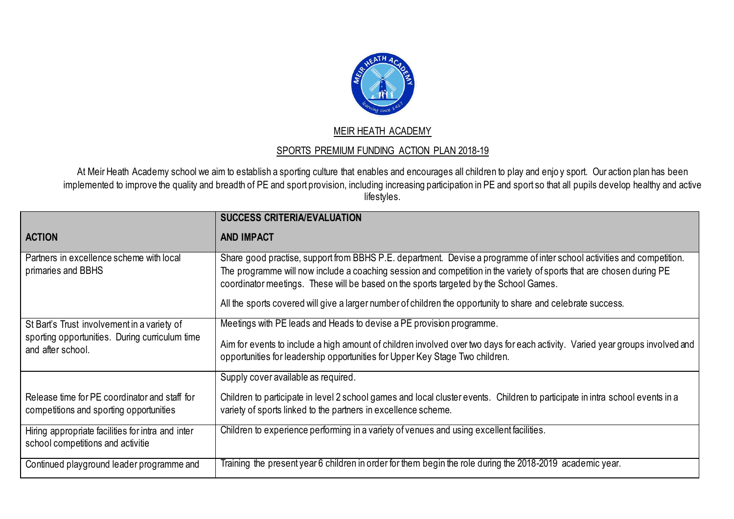

## MEIR HEATH ACADEMY

## SPORTS PREMIUM FUNDING ACTION PLAN 2018-19

At Meir Heath Academy school we aim to establish a sporting culture that enables and encourages all children to play and enjo y sport. Our action plan has been implemented to improve the quality and breadth of PE and sport provision, including increasing participation in PE and sport so that all pupils develop healthy and active lifestyles.

|                                                                                          | <b>SUCCESS CRITERIA/EVALUATION</b>                                                                                                                                                                                                                                                                                                                                                                                                                      |
|------------------------------------------------------------------------------------------|---------------------------------------------------------------------------------------------------------------------------------------------------------------------------------------------------------------------------------------------------------------------------------------------------------------------------------------------------------------------------------------------------------------------------------------------------------|
| <b>ACTION</b>                                                                            | <b>AND IMPACT</b>                                                                                                                                                                                                                                                                                                                                                                                                                                       |
| Partners in excellence scheme with local<br>primaries and BBHS                           | Share good practise, support from BBHS P.E. department. Devise a programme of inter school activities and competition.<br>The programme will now include a coaching session and competition in the variety of sports that are chosen during PE<br>coordinator meetings. These will be based on the sports targeted by the School Games.<br>All the sports covered will give a larger number of children the opportunity to share and celebrate success. |
| St Bart's Trust involvement in a variety of                                              | Meetings with PE leads and Heads to devise a PE provision programme.                                                                                                                                                                                                                                                                                                                                                                                    |
| sporting opportunities. During curriculum time<br>and after school.                      | Aim for events to include a high amount of children involved over two days for each activity. Varied year groups involved and<br>opportunities for leadership opportunities for Upper Key Stage Two children.                                                                                                                                                                                                                                           |
|                                                                                          | Supply cover available as required.                                                                                                                                                                                                                                                                                                                                                                                                                     |
| Release time for PE coordinator and staff for<br>competitions and sporting opportunities | Children to participate in level 2 school games and local cluster events. Children to participate in intra school events in a<br>variety of sports linked to the partners in excellence scheme.                                                                                                                                                                                                                                                         |
| Hiring appropriate facilities for intra and inter<br>school competitions and activitie   | Children to experience performing in a variety of venues and using excellent facilities.                                                                                                                                                                                                                                                                                                                                                                |
| Continued playground leader programme and                                                | Training  the  present year 6 children in order for them begin the role during the 2018-2019  academic year.                                                                                                                                                                                                                                                                                                                                            |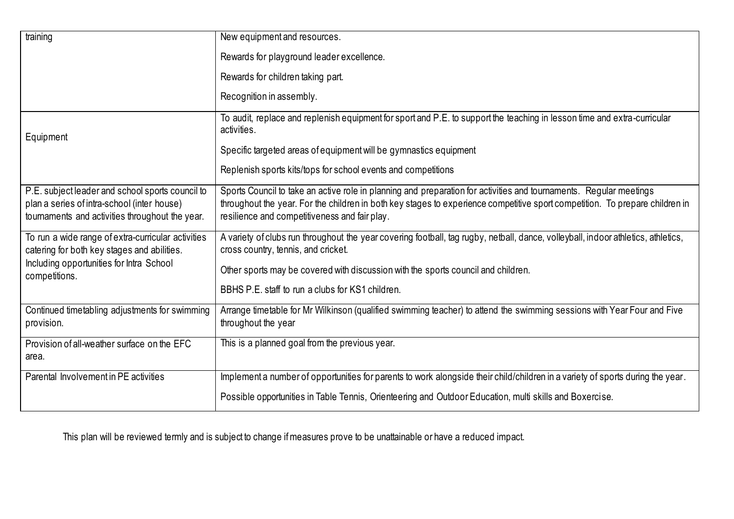| training                                                                                                                                           | New equipment and resources.                                                                                                                                                                                                                                                                        |
|----------------------------------------------------------------------------------------------------------------------------------------------------|-----------------------------------------------------------------------------------------------------------------------------------------------------------------------------------------------------------------------------------------------------------------------------------------------------|
|                                                                                                                                                    | Rewards for playground leader excellence.                                                                                                                                                                                                                                                           |
|                                                                                                                                                    | Rewards for children taking part.                                                                                                                                                                                                                                                                   |
|                                                                                                                                                    | Recognition in assembly.                                                                                                                                                                                                                                                                            |
| Equipment                                                                                                                                          | To audit, replace and replenish equipment for sport and P.E. to support the teaching in lesson time and extra-curricular<br>activities.                                                                                                                                                             |
|                                                                                                                                                    | Specific targeted areas of equipment will be gymnastics equipment                                                                                                                                                                                                                                   |
|                                                                                                                                                    | Replenish sports kits/tops for school events and competitions                                                                                                                                                                                                                                       |
| P.E. subject leader and school sports council to<br>plan a series of intra-school (inter house)<br>tournaments and activities throughout the year. | Sports Council to take an active role in planning and preparation for activities and tournaments. Regular meetings<br>throughout the year. For the children in both key stages to experience competitive sport competition. To prepare children in<br>resilience and competitiveness and fair play. |
| To run a wide range of extra-curricular activities<br>catering for both key stages and abilities.                                                  | A variety of clubs run throughout the year covering football, tag rugby, netball, dance, volleyball, indoor athletics, athletics,<br>cross country, tennis, and cricket.                                                                                                                            |
| Including opportunities for Intra School<br>competitions.                                                                                          | Other sports may be covered with discussion with the sports council and children.                                                                                                                                                                                                                   |
|                                                                                                                                                    | BBHS P.E. staff to run a clubs for KS1 children.                                                                                                                                                                                                                                                    |
| Continued timetabling adjustments for swimming<br>provision.                                                                                       | Arrange timetable for Mr Wilkinson (qualified swimming teacher) to attend the swimming sessions with Year Four and Five<br>throughout the year                                                                                                                                                      |
| Provision of all-weather surface on the EFC<br>area.                                                                                               | This is a planned goal from the previous year.                                                                                                                                                                                                                                                      |
| Parental Involvement in PE activities                                                                                                              | Implement a number of opportunities for parents to work alongside their child/children in a variety of sports during the year.                                                                                                                                                                      |
|                                                                                                                                                    | Possible opportunities in Table Tennis, Orienteering and Outdoor Education, multi skills and Boxercise.                                                                                                                                                                                             |

This plan will be reviewed termly and is subject to change if measures prove to be unattainable or have a reduced impact.